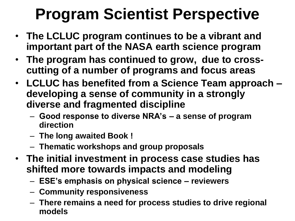# **Program Scientist Perspective**

- **The LCLUC program continues to be a vibrant and important part of the NASA earth science program**
- **The program has continued to grow, due to crosscutting of a number of programs and focus areas**
- **LCLUC has benefited from a Science Team approach – developing a sense of community in a strongly diverse and fragmented discipline**
	- **Good response to diverse NRA's – a sense of program direction**
	- **The long awaited Book !**
	- **Thematic workshops and group proposals**
- **The initial investment in process case studies has shifted more towards impacts and modeling**
	- **ESE's emphasis on physical science – reviewers**
	- **Community responsiveness**
	- **There remains a need for process studies to drive regional models**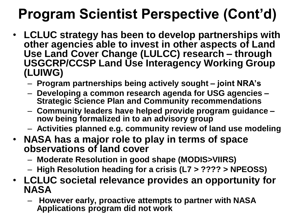## **Program Scientist Perspective (Cont'd)**

- **LCLUC strategy has been to develop partnerships with other agencies able to invest in other aspects of Land Use Land Cover Change (LULCC) research – through USGCRP/CCSP Land Use Interagency Working Group (LUIWG)** 
	- **Program partnerships being actively sought – joint NRA's**
	- **Developing a common research agenda for USG agencies – Strategic Science Plan and Community recommendations**
	- **Community leaders have helped provide program guidance – now being formalized in to an advisory group**
	- **Activities planned e.g. community review of land use modeling**
- **NASA has a major role to play in terms of space observations of land cover** 
	- **Moderate Resolution in good shape (MODIS>VIIRS)**
	- **High Resolution heading for a crisis (L7 > ???? > NPEOSS)**
- **LCLUC societal relevance provides an opportunity for NASA**
	- **However early, proactive attempts to partner with NASA Applications program did not work**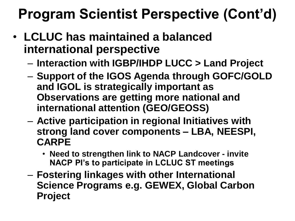### **Program Scientist Perspective (Cont'd)**

- **LCLUC has maintained a balanced international perspective**
	- **Interaction with IGBP/IHDP LUCC > Land Project**
	- **Support of the IGOS Agenda through GOFC/GOLD and IGOL is strategically important as Observations are getting more national and international attention (GEO/GEOSS)**
	- **Active participation in regional Initiatives with strong land cover components – LBA, NEESPI, CARPE**
		- **Need to strengthen link to NACP Landcover - invite NACP PI's to participate in LCLUC ST meetings**
	- **Fostering linkages with other International Science Programs e.g. GEWEX, Global Carbon Project**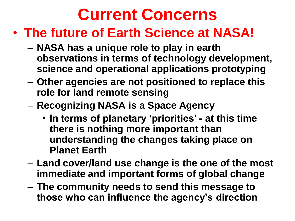# **Current Concerns**

### • **The future of Earth Science at NASA!**

- **NASA has a unique role to play in earth observations in terms of technology development, science and operational applications prototyping**
- **Other agencies are not positioned to replace this role for land remote sensing**
- **Recognizing NASA is a Space Agency** 
	- **In terms of planetary 'priorities' - at this time there is nothing more important than understanding the changes taking place on Planet Earth**
- **Land cover/land use change is the one of the most immediate and important forms of global change**
- **The community needs to send this message to those who can influence the agency's direction**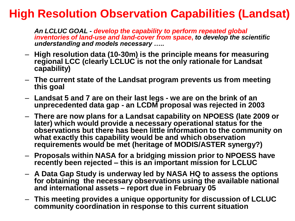#### **High Resolution Observation Capabilities (Landsat)**

*An LCLUC GOAL - develop the capability to perform repeated global inventories of land-use and land-cover from space***,** *to develop the scientific understanding and models necessary …..*

- **High resolution data (10-30m) is the principle means for measuring regional LCC (clearly LCLUC is not the only rationale for Landsat capability)**
- **The current state of the Landsat program prevents us from meeting this goal**
- **Landsat 5 and 7 are on their last legs - we are on the brink of an unprecedented data gap - an LCDM proposal was rejected in 2003**
- **There are now plans for a Landsat capability on NPOESS (late 2009 or later) which would provide a necessary operational status for the observations but there has been little information to the community on what exactly this capability would be and which observation requirements would be met (heritage of MODIS/ASTER synergy?)**
- **Proposals within NASA for a bridging mission prior to NPOESS have recently been rejected – this is an important mission for LCLUC**
- **A Data Gap Study is underway led by NASA HQ to assess the options for obtaining the necessary observations using the available national and international assets – report due in February 05**
- **This meeting provides a unique opportunity for discussion of LCLUC community coordination in response to this current situation**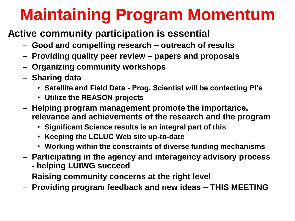# **Maintaining Program Momentum**

#### **Active community participation is essential**

- **Good and compelling research – outreach of results**
- **Providing quality peer review – papers and proposals**
- **Organizing community workshops**
- **Sharing data**
	- **Satellite and Field Data - Prog. Scientist will be contacting PI's**
	- **Utilize the REASON projects**
- **Helping program management promote the importance, relevance and achievements of the research and the program**
	- **Significant Science results is an integral part of this**
	- **Keeping the LCLUC Web site up-to-date**
	- **Working within the constraints of diverse funding mechanisms**
- **Participating in the agency and interagency advisory process - helping LUIWG succeed**
- **Raising community concerns at the right level**
- **Providing program feedback and new ideas – THIS MEETING**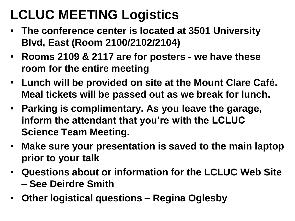### **LCLUC MEETING Logistics**

- **The conference center is located at 3501 University Blvd, East (Room 2100/2102/2104)**
- **Rooms 2109 & 2117 are for posters - we have these room for the entire meeting**
- **Lunch will be provided on site at the Mount Clare Café. Meal tickets will be passed out as we break for lunch.**
- **Parking is complimentary. As you leave the garage, inform the attendant that you're with the LCLUC Science Team Meeting.**
- **Make sure your presentation is saved to the main laptop prior to your talk**
- **Questions about or information for the LCLUC Web Site – See Deirdre Smith**
- **Other logistical questions – Regina Oglesby**